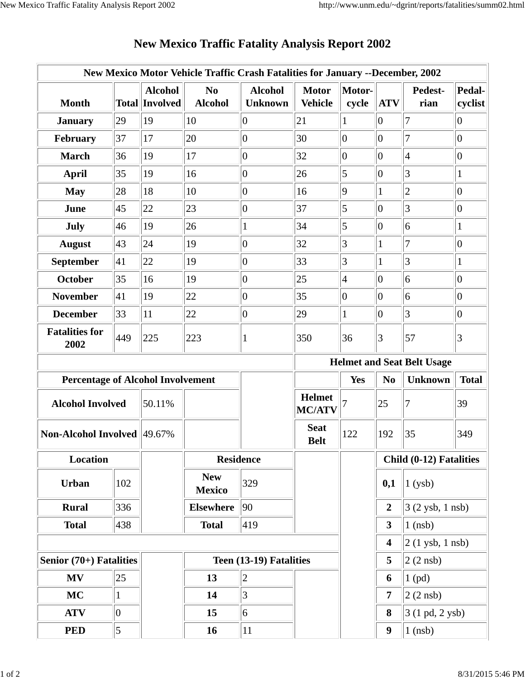|                                          |              |                                         | New Mexico Motor Vehicle Traffic Crash Fatalities for January --December, 2002 |                                  |                                |                         |                                                  |                      |                   |
|------------------------------------------|--------------|-----------------------------------------|--------------------------------------------------------------------------------|----------------------------------|--------------------------------|-------------------------|--------------------------------------------------|----------------------|-------------------|
| <b>Month</b>                             |              | <b>Alcohol</b><br><b>Total Involved</b> | N <sub>0</sub><br><b>Alcohol</b>                                               | <b>Alcohol</b><br><b>Unknown</b> | <b>Motor</b><br><b>Vehicle</b> | Motor-<br>cycle         | <b>ATV</b>                                       | Pedest-<br>rian      | Pedal-<br>cyclist |
| <b>January</b>                           | 29           | 19                                      | 10                                                                             | $\overline{0}$                   | 21                             | 1                       | $ 0\rangle$                                      | 7                    | $ 0\rangle$       |
| February                                 | 37           | 17                                      | 20                                                                             | $\overline{0}$                   | 30                             | $\overline{0}$          | 0                                                | 7                    | $ 0\rangle$       |
| <b>March</b>                             | 36           | 19                                      | 17                                                                             | $\overline{0}$                   | $ 32\rangle$                   | $\overline{0}$          | $\overline{0}$                                   | $\overline{4}$       | $ 0\rangle$       |
| <b>April</b>                             | 35           | 19                                      | 16                                                                             | $\overline{0}$                   | 26                             | 5                       | 0                                                | 3                    | $\mathbf{1}$      |
| <b>May</b>                               | 28           | 18                                      | 10                                                                             | $\overline{0}$                   | 16                             | $\overline{9}$          | 1                                                | $\overline{c}$       | $ 0\rangle$       |
| June                                     | 45           | 22                                      | 23                                                                             | $\overline{0}$                   | 37                             | 5                       | $ 0\rangle$                                      | 3                    | $ 0\rangle$       |
| July                                     | 46           | 19                                      | 26                                                                             | $\mathbf{1}$                     | 34                             | 5                       | $ 0\rangle$                                      | 6                    | $\mathbf{1}$      |
| <b>August</b>                            | 43           | 24                                      | 19                                                                             | $\overline{0}$                   | 32                             | 3                       | 1                                                | 7                    | $ 0\rangle$       |
| September                                | 41           | 22                                      | 19                                                                             | $ 0\rangle$                      | 33                             | 3                       | 1                                                | 3                    | $\mathbf{1}$      |
| <b>October</b>                           | 35           | 16                                      | 19                                                                             | $\overline{0}$                   | $ 25\rangle$                   | 4                       | $ 0\rangle$                                      | 6                    | $ 0\rangle$       |
| <b>November</b>                          | 41           | 19                                      | 22                                                                             | $\overline{0}$                   | 35                             | $\overline{0}$          | $ 0\rangle$                                      | 6                    | $ 0\rangle$       |
| <b>December</b>                          | $ 33\rangle$ | 11                                      | 22                                                                             | $\overline{0}$                   | 29                             | $\mathbf{1}$            | $ 0\rangle$                                      | $\overline{3}$       | $ 0\rangle$       |
| <b>Fatalities for</b><br>2002            | 449          | 225                                     | 223                                                                            | $\mathbf{1}$                     | 350                            | 36                      | $\vert 3 \vert$                                  | 57                   | $\vert 3 \vert$   |
|                                          |              |                                         | <b>Helmet and Seat Belt Usage</b>                                              |                                  |                                |                         |                                                  |                      |                   |
| <b>Percentage of Alcohol Involvement</b> |              |                                         |                                                                                |                                  |                                | <b>Yes</b>              | N <sub>0</sub><br><b>Unknown</b><br><b>Total</b> |                      |                   |
| <b>Alcohol Involved</b><br>50.11%        |              |                                         |                                                                                |                                  | <b>Helmet</b><br><b>MC/ATV</b> |                         | 25                                               | 7                    | 39                |
| <b>Non-Alcohol Involved 49.67%</b>       |              |                                         |                                                                                |                                  | <b>Seat</b><br><b>Belt</b>     | 122                     | 192                                              | 35                   | 349               |
| Location                                 |              |                                         | <b>Residence</b>                                                               |                                  |                                | Child (0-12) Fatalities |                                                  |                      |                   |
| <b>Urban</b>                             | 102          |                                         | <b>New</b><br><b>Mexico</b>                                                    | 329                              |                                |                         | 0,1                                              | 1(ysb)               |                   |
| <b>Rural</b>                             | 336          |                                         | <b>Elsewhere</b>                                                               | 90                               |                                |                         | $\boldsymbol{2}$                                 | $3(2$ ysb, 1 nsb)    |                   |
| <b>Total</b>                             | 438          |                                         | <b>Total</b>                                                                   | 419                              |                                |                         | $\overline{\mathbf{3}}$                          | $1$ (nsb)            |                   |
|                                          |              |                                         |                                                                                |                                  |                                |                         | $\overline{\mathbf{4}}$                          | $2(1$ ysb, $1$ nsb)  |                   |
| Senior $(70+)$ Fatalities                |              |                                         | Teen (13-19) Fatalities                                                        |                                  | 5                              | $2(2$ nsb)              |                                                  |                      |                   |
| <b>MV</b>                                | $ 25\rangle$ |                                         | 13                                                                             | $ 2\rangle$                      |                                |                         | 6                                                | $1$ (pd)             |                   |
|                                          |              |                                         |                                                                                |                                  |                                |                         |                                                  | $ 2(2 \text{ nsb}) $ |                   |
| <b>MC</b>                                | $\vert$ 1    |                                         | 14                                                                             | $\vert 3 \vert$                  |                                |                         | $\overline{7}$                                   |                      |                   |
| <b>ATV</b>                               | $ 0\rangle$  |                                         | 15                                                                             | 6                                |                                |                         | 8                                                | 3 (1 pd, 2 ysb)      |                   |

## **New Mexico Traffic Fatality Analysis Report 2002**